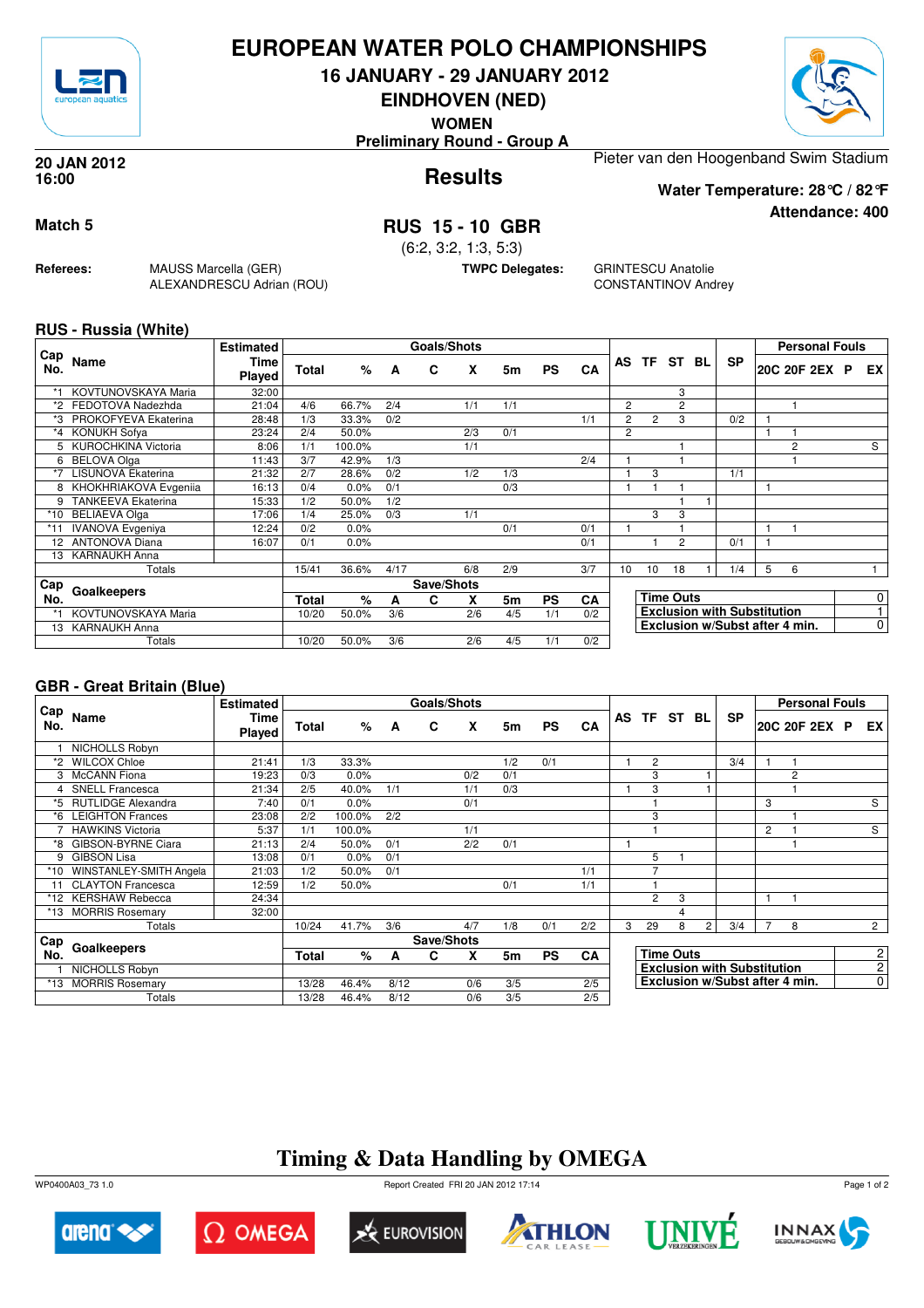

## **EUROPEAN WATER POLO CHAMPIONSHIPS**

**16 JANUARY - 29 JANUARY 2012**

**EINDHOVEN (NED)**

**WOMEN**

**Preliminary Round - Group A**

#### **Results 20 JAN 2012 16:00**

Pieter van den Hoogenband Swim Stadium

**Water Temperature: 28°C / 82°F**

**Attendance: 400**

## **Match 5 RUS 15 - 10 GBR**

(6:2, 3:2, 1:3, 5:3)

**TWPC Delegates:** GRINTESCU Anatolie CONSTANTINOV Andrey

### **RUS - Russia (White)**

**Referees:** MAUSS Marcella (GER)

ALEXANDRESCU Adrian (ROU)

| Cap   |                           | <b>Estimated</b>      |              |        |      | <b>Goals/Shots</b> |     |     |           |     |                |                |                  |     |                                    |   | <b>Personal Fouls</b>          |   |             |
|-------|---------------------------|-----------------------|--------------|--------|------|--------------------|-----|-----|-----------|-----|----------------|----------------|------------------|-----|------------------------------------|---|--------------------------------|---|-------------|
| No.   | Name                      | Time<br><b>Played</b> | <b>Total</b> | %      | A    | C                  | X   | 5m  | <b>PS</b> | CA  | AS             | TF.            | ST               | BL. | <b>SP</b>                          |   | 20C 20F 2EX                    | P | EX          |
|       | KOVTUNOVSKAYA Maria       | 32:00                 |              |        |      |                    |     |     |           |     |                |                | 3                |     |                                    |   |                                |   |             |
| *2    | FEDOTOVA Nadezhda         | 21:04                 | 4/6          | 66.7%  | 2/4  |                    | 1/1 | 1/1 |           |     | $\overline{2}$ |                | 2                |     |                                    |   |                                |   |             |
|       | PROKOFYEVA Ekaterina      | 28:48                 | 1/3          | 33.3%  | 0/2  |                    |     |     |           | 1/1 | $\overline{2}$ | $\overline{2}$ | 3                |     | 0/2                                |   |                                |   |             |
| $^*4$ | KONUKH Sofya              | 23:24                 | 2/4          | 50.0%  |      |                    | 2/3 | 0/1 |           |     | $\overline{2}$ |                |                  |     |                                    |   |                                |   |             |
|       | 5 KUROCHKINA Victoria     | 8:06                  | 1/1          | 100.0% |      |                    | 1/1 |     |           |     |                |                |                  |     |                                    |   | 2                              |   | S           |
| 6     | <b>BELOVA Olga</b>        | 11:43                 | 3/7          | 42.9%  | 1/3  |                    |     |     |           | 2/4 |                |                |                  |     |                                    |   |                                |   |             |
| *7    | <b>LISUNOVA Ekaterina</b> | 21:32                 | 2/7          | 28.6%  | 0/2  |                    | 1/2 | 1/3 |           |     |                | 3              |                  |     | 1/1                                |   |                                |   |             |
| 8     | KHOKHRIAKOVA Evgenija     | 16:13                 | 0/4          | 0.0%   | 0/1  |                    |     | 0/3 |           |     |                |                |                  |     |                                    |   |                                |   |             |
| 9     | <b>TANKEEVA Ekaterina</b> | 15:33                 | 1/2          | 50.0%  | 1/2  |                    |     |     |           |     |                |                |                  |     |                                    |   |                                |   |             |
| *10   | <b>BELIAEVA Olga</b>      | 17:06                 | 1/4          | 25.0%  | 0/3  |                    | 1/1 |     |           |     |                | 3              | 3                |     |                                    |   |                                |   |             |
| *11   | <b>IVANOVA</b> Evgeniya   | 12:24                 | 0/2          | 0.0%   |      |                    |     | 0/1 |           | 0/1 |                |                |                  |     |                                    |   |                                |   |             |
|       | 12 ANTONOVA Diana         | 16:07                 | 0/1          | 0.0%   |      |                    |     |     |           | 0/1 |                |                | $\overline{2}$   |     | 0/1                                |   |                                |   |             |
| 13    | <b>KARNAUKH Anna</b>      |                       |              |        |      |                    |     |     |           |     |                |                |                  |     |                                    |   |                                |   |             |
|       | Totals                    |                       | 15/41        | 36.6%  | 4/17 |                    | 6/8 | 2/9 |           | 3/7 | 10             | 10             | 18               |     | 1/4                                | 5 | 6                              |   |             |
| ⊩Cap  | Goalkeepers               |                       |              |        |      | Save/Shots         |     |     |           |     |                |                |                  |     |                                    |   |                                |   |             |
| No.   |                           |                       | <b>Total</b> | %      | A    | C.                 | X   | 5m  | <b>PS</b> | CA  |                |                | <b>Time Outs</b> |     |                                    |   |                                |   | $\mathbf 0$ |
|       | KOVTUNOVSKAYA Maria       |                       | 10/20        | 50.0%  | 3/6  |                    | 2/6 | 4/5 | 1/1       | 0/2 |                |                |                  |     | <b>Exclusion with Substitution</b> |   |                                |   |             |
| 13    | <b>KARNAUKH Anna</b>      |                       |              |        |      |                    |     |     |           |     |                |                |                  |     |                                    |   | Exclusion w/Subst after 4 min. |   | 0           |
|       | Totals                    |                       | 10/20        | 50.0%  | 3/6  |                    | 2/6 | 4/5 | 1/1       | 0/2 |                |                |                  |     |                                    |   |                                |   |             |

### **GBR - Great Britain (Blue)**

|              |                           | <b>Estimated</b> |       |        |      | Goals/Shots |     |     |           |           |   |                |                  |                |                                    |   | <b>Personal Fouls</b>          |                |
|--------------|---------------------------|------------------|-------|--------|------|-------------|-----|-----|-----------|-----------|---|----------------|------------------|----------------|------------------------------------|---|--------------------------------|----------------|
| ⊦ Cap<br>No. | Name                      | Time<br>Played   | Total | $\%$   | A    | C           | X   | 5m  | <b>PS</b> | CA        |   | AS TF ST BL    |                  |                | <b>SP</b>                          |   | 20C 20F 2EX P                  | EX I           |
|              | NICHOLLS Robyn            |                  |       |        |      |             |     |     |           |           |   |                |                  |                |                                    |   |                                |                |
| *2           | <b>WILCOX Chloe</b>       | 21:41            | 1/3   | 33.3%  |      |             |     | 1/2 | 0/1       |           |   | $\overline{2}$ |                  |                | 3/4                                |   |                                |                |
| 3            | <b>McCANN</b> Fiona       | 19:23            | 0/3   | 0.0%   |      |             | 0/2 | 0/1 |           |           |   | 3              |                  |                |                                    |   | $\overline{2}$                 |                |
|              | <b>SNELL Francesca</b>    | 21:34            | 2/5   | 40.0%  | 1/1  |             | 1/1 | 0/3 |           |           |   | 3              |                  |                |                                    |   |                                |                |
| *5           | <b>RUTLIDGE Alexandra</b> | 7:40             | 0/1   | 0.0%   |      |             | 0/1 |     |           |           |   |                |                  |                |                                    | 3 |                                | S              |
| *6           | <b>LEIGHTON Frances</b>   | 23:08            | 2/2   | 100.0% | 2/2  |             |     |     |           |           |   | 3              |                  |                |                                    |   |                                |                |
|              | <b>HAWKINS Victoria</b>   | 5:37             | 1/1   | 100.0% |      |             | 1/1 |     |           |           |   |                |                  |                |                                    | 2 |                                | S              |
| *8           | <b>GIBSON-BYRNE Ciara</b> | 21:13            | 2/4   | 50.0%  | 0/1  |             | 2/2 | 0/1 |           |           |   |                |                  |                |                                    |   |                                |                |
| 9            | <b>GIBSON Lisa</b>        | 13:08            | 0/1   | 0.0%   | 0/1  |             |     |     |           |           |   | 5              |                  |                |                                    |   |                                |                |
| *10          | WINSTANLEY-SMITH Angela   | 21:03            | 1/2   | 50.0%  | 0/1  |             |     |     |           | 1/1       |   | 7              |                  |                |                                    |   |                                |                |
| 11           | <b>CLAYTON Francesca</b>  | 12:59            | 1/2   | 50.0%  |      |             |     | 0/1 |           | 1/1       |   |                |                  |                |                                    |   |                                |                |
|              | *12 KERSHAW Rebecca       | 24:34            |       |        |      |             |     |     |           |           |   | $\overline{2}$ | 3                |                |                                    | 1 |                                |                |
| *13          | <b>MORRIS Rosemary</b>    | 32:00            |       |        |      |             |     |     |           |           |   |                | $\overline{4}$   |                |                                    |   |                                |                |
|              | Totals                    |                  | 10/24 | 41.7%  | 3/6  |             | 4/7 | 1/8 | 0/1       | 2/2       | 3 | 29             | 8                | $\overline{2}$ | 3/4                                | 7 | 8                              | $\overline{2}$ |
| Cap          |                           |                  |       |        |      | Save/Shots  |     |     |           |           |   |                |                  |                |                                    |   |                                |                |
| No.          | Goalkeepers               |                  | Total | %      | A    | C           | X   | 5m  | <b>PS</b> | <b>CA</b> |   |                | <b>Time Outs</b> |                |                                    |   |                                | $\mathbf{2}$   |
|              | NICHOLLS Robyn            |                  |       |        |      |             |     |     |           |           |   |                |                  |                | <b>Exclusion with Substitution</b> |   |                                | 2 <sup>1</sup> |
|              | *13 MORRIS Rosemary       |                  | 13/28 | 46.4%  | 8/12 |             | 0/6 | 3/5 |           | 2/5       |   |                |                  |                |                                    |   | Exclusion w/Subst after 4 min. | $\overline{0}$ |
|              | Totals                    |                  | 13/28 | 46.4%  | 8/12 |             | 0/6 | 3/5 |           | 2/5       |   |                |                  |                |                                    |   |                                |                |

# **Timing & Data Handling by OMEGA**

WP0400A03\_73 1.0 Report Created FRI 20 JAN 2012 17:14













Page 1 of 2